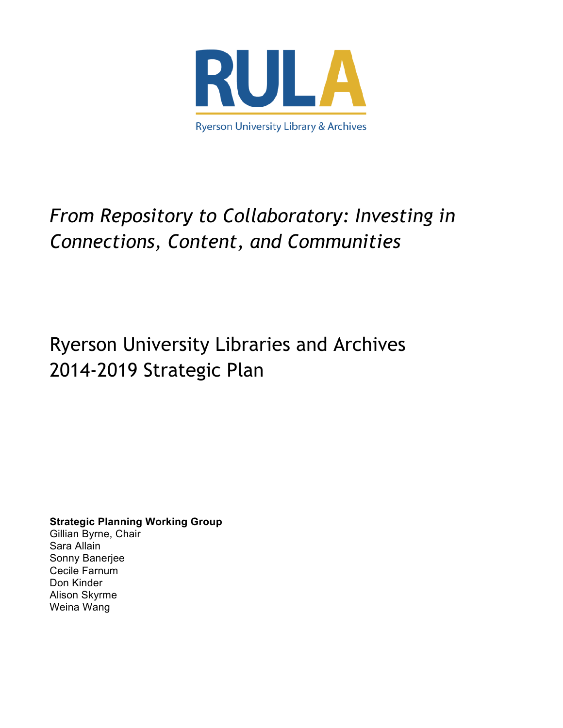

# *From Repository to Collaboratory: Investing in Connections, Content, and Communities*

# Ryerson University Libraries and Archives 2014-2019 Strategic Plan

**Strategic Planning Working Group** Gillian Byrne, Chair Sara Allain Sonny Banerjee Cecile Farnum Don Kinder Alison Skyrme Weina Wang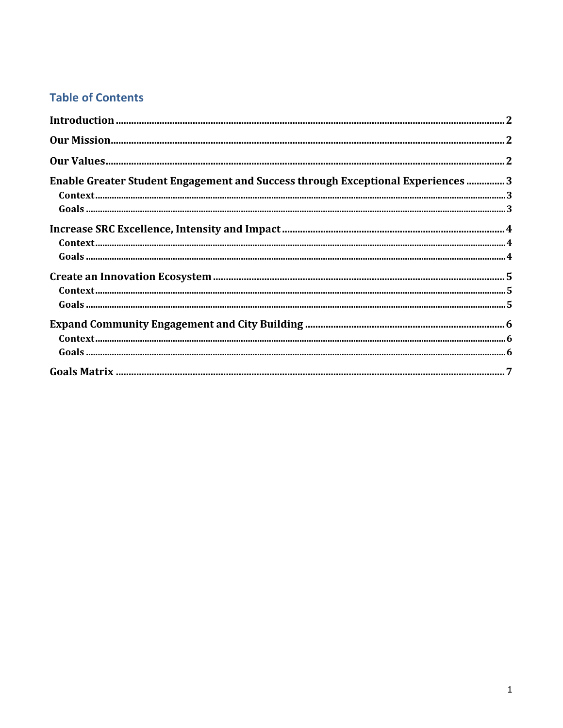### **Table of Contents**

| Enable Greater Student Engagement and Success through Exceptional Experiences  3                                                                                                                                                                                                                                                                                                                                                                                     |  |
|----------------------------------------------------------------------------------------------------------------------------------------------------------------------------------------------------------------------------------------------------------------------------------------------------------------------------------------------------------------------------------------------------------------------------------------------------------------------|--|
| $\textbf{Context} \textcolor{red}{\textbf{.}} \\ \textbf{.}} \\ \textbf{.} \\ \textbf{.} \\ \textbf{.} \\ \textbf{.} \\ \textbf{.} \\ \textbf{.} \\ \textbf{.} \\ \textbf{.} \\ \textbf{.} \\ \textbf{.} \\ \textbf{.} \\ \textbf{.} \\ \textbf{.} \\ \textbf{.} \\ \textbf{.} \\ \textbf{.} \\ \textbf{.} \\ \textbf{.} \\ \textbf{.} \\ \textbf{.} \\ \textbf{.} \\ \textbf{.} \\ \textbf{.} \\ \textbf{.} \\ \textbf{.} \\ \textbf{.} \\ \textbf{.} \\ \textbf{.$ |  |
|                                                                                                                                                                                                                                                                                                                                                                                                                                                                      |  |
|                                                                                                                                                                                                                                                                                                                                                                                                                                                                      |  |
|                                                                                                                                                                                                                                                                                                                                                                                                                                                                      |  |
|                                                                                                                                                                                                                                                                                                                                                                                                                                                                      |  |
|                                                                                                                                                                                                                                                                                                                                                                                                                                                                      |  |
| $\textbf{Context} \textcolor{red}{\textbf{.}} \\ \textbf{.}} \\ \textbf{5}$                                                                                                                                                                                                                                                                                                                                                                                          |  |
|                                                                                                                                                                                                                                                                                                                                                                                                                                                                      |  |
|                                                                                                                                                                                                                                                                                                                                                                                                                                                                      |  |
|                                                                                                                                                                                                                                                                                                                                                                                                                                                                      |  |
|                                                                                                                                                                                                                                                                                                                                                                                                                                                                      |  |
|                                                                                                                                                                                                                                                                                                                                                                                                                                                                      |  |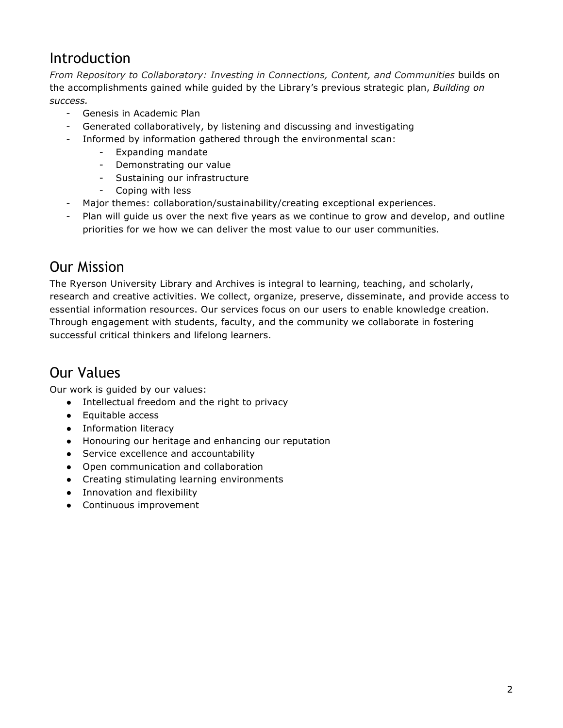## Introduction

*From Repository to Collaboratory: Investing in Connections, Content, and Communities* builds on the accomplishments gained while guided by the Library's previous strategic plan, *Building on success.*

- Genesis in Academic Plan
- Generated collaboratively, by listening and discussing and investigating
- Informed by information gathered through the environmental scan:
	- Expanding mandate
	- Demonstrating our value
	- Sustaining our infrastructure
	- Coping with less
- Major themes: collaboration/sustainability/creating exceptional experiences.
- Plan will guide us over the next five years as we continue to grow and develop, and outline priorities for we how we can deliver the most value to our user communities.

## Our Mission

The Ryerson University Library and Archives is integral to learning, teaching, and scholarly, research and creative activities. We collect, organize, preserve, disseminate, and provide access to essential information resources. Our services focus on our users to enable knowledge creation. Through engagement with students, faculty, and the community we collaborate in fostering successful critical thinkers and lifelong learners.

## Our Values

Our work is guided by our values:

- Intellectual freedom and the right to privacy
- Equitable access
- Information literacy
- Honouring our heritage and enhancing our reputation
- Service excellence and accountability
- Open communication and collaboration
- Creating stimulating learning environments
- Innovation and flexibility
- Continuous improvement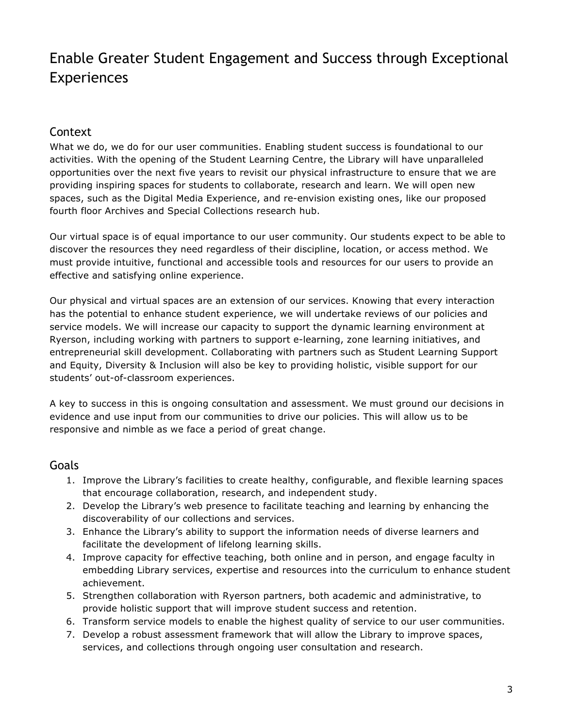## Enable Greater Student Engagement and Success through Exceptional Experiences

#### Context

What we do, we do for our user communities. Enabling student success is foundational to our activities. With the opening of the Student Learning Centre, the Library will have unparalleled opportunities over the next five years to revisit our physical infrastructure to ensure that we are providing inspiring spaces for students to collaborate, research and learn. We will open new spaces, such as the Digital Media Experience, and re-envision existing ones, like our proposed fourth floor Archives and Special Collections research hub.

Our virtual space is of equal importance to our user community. Our students expect to be able to discover the resources they need regardless of their discipline, location, or access method. We must provide intuitive, functional and accessible tools and resources for our users to provide an effective and satisfying online experience.

Our physical and virtual spaces are an extension of our services. Knowing that every interaction has the potential to enhance student experience, we will undertake reviews of our policies and service models. We will increase our capacity to support the dynamic learning environment at Ryerson, including working with partners to support e-learning, zone learning initiatives, and entrepreneurial skill development. Collaborating with partners such as Student Learning Support and Equity, Diversity & Inclusion will also be key to providing holistic, visible support for our students' out-of-classroom experiences.

A key to success in this is ongoing consultation and assessment. We must ground our decisions in evidence and use input from our communities to drive our policies. This will allow us to be responsive and nimble as we face a period of great change.

- 1. Improve the Library's facilities to create healthy, configurable, and flexible learning spaces that encourage collaboration, research, and independent study.
- 2. Develop the Library's web presence to facilitate teaching and learning by enhancing the discoverability of our collections and services.
- 3. Enhance the Library's ability to support the information needs of diverse learners and facilitate the development of lifelong learning skills.
- 4. Improve capacity for effective teaching, both online and in person, and engage faculty in embedding Library services, expertise and resources into the curriculum to enhance student achievement.
- 5. Strengthen collaboration with Ryerson partners, both academic and administrative, to provide holistic support that will improve student success and retention.
- 6. Transform service models to enable the highest quality of service to our user communities.
- 7. Develop a robust assessment framework that will allow the Library to improve spaces, services, and collections through ongoing user consultation and research.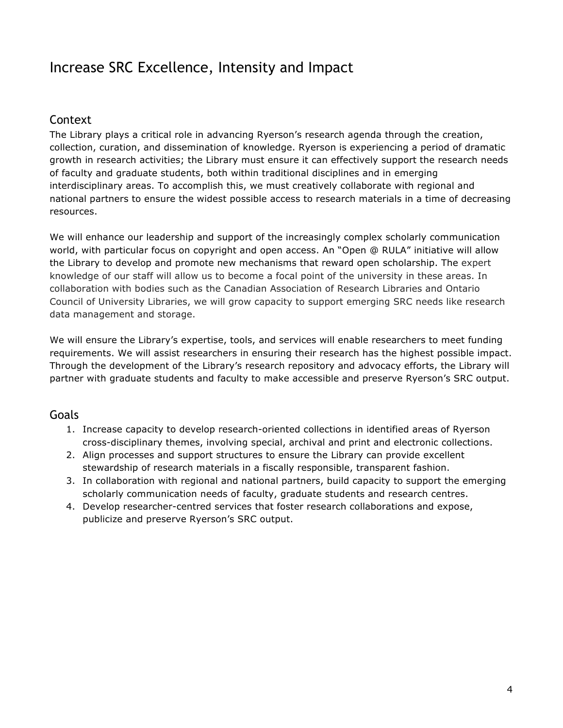## Increase SRC Excellence, Intensity and Impact

#### Context

The Library plays a critical role in advancing Ryerson's research agenda through the creation, collection, curation, and dissemination of knowledge. Ryerson is experiencing a period of dramatic growth in research activities; the Library must ensure it can effectively support the research needs of faculty and graduate students, both within traditional disciplines and in emerging interdisciplinary areas. To accomplish this, we must creatively collaborate with regional and national partners to ensure the widest possible access to research materials in a time of decreasing resources.

We will enhance our leadership and support of the increasingly complex scholarly communication world, with particular focus on copyright and open access. An "Open @ RULA" initiative will allow the Library to develop and promote new mechanisms that reward open scholarship. The expert knowledge of our staff will allow us to become a focal point of the university in these areas. In collaboration with bodies such as the Canadian Association of Research Libraries and Ontario Council of University Libraries, we will grow capacity to support emerging SRC needs like research data management and storage.

We will ensure the Library's expertise, tools, and services will enable researchers to meet funding requirements. We will assist researchers in ensuring their research has the highest possible impact. Through the development of the Library's research repository and advocacy efforts, the Library will partner with graduate students and faculty to make accessible and preserve Ryerson's SRC output.

- 1. Increase capacity to develop research-oriented collections in identified areas of Ryerson cross-disciplinary themes, involving special, archival and print and electronic collections.
- 2. Align processes and support structures to ensure the Library can provide excellent stewardship of research materials in a fiscally responsible, transparent fashion.
- 3. In collaboration with regional and national partners, build capacity to support the emerging scholarly communication needs of faculty, graduate students and research centres.
- 4. Develop researcher-centred services that foster research collaborations and expose, publicize and preserve Ryerson's SRC output.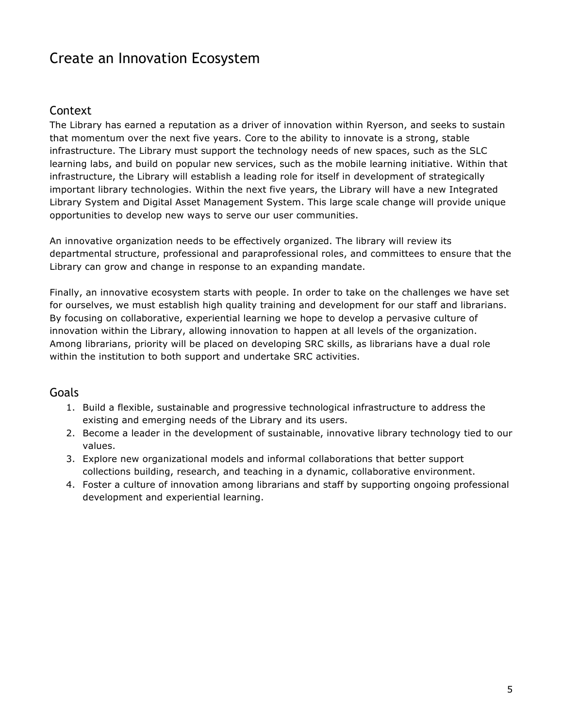## Create an Innovation Ecosystem

#### Context

The Library has earned a reputation as a driver of innovation within Ryerson, and seeks to sustain that momentum over the next five years. Core to the ability to innovate is a strong, stable infrastructure. The Library must support the technology needs of new spaces, such as the SLC learning labs, and build on popular new services, such as the mobile learning initiative. Within that infrastructure, the Library will establish a leading role for itself in development of strategically important library technologies. Within the next five years, the Library will have a new Integrated Library System and Digital Asset Management System. This large scale change will provide unique opportunities to develop new ways to serve our user communities.

An innovative organization needs to be effectively organized. The library will review its departmental structure, professional and paraprofessional roles, and committees to ensure that the Library can grow and change in response to an expanding mandate.

Finally, an innovative ecosystem starts with people. In order to take on the challenges we have set for ourselves, we must establish high quality training and development for our staff and librarians. By focusing on collaborative, experiential learning we hope to develop a pervasive culture of innovation within the Library, allowing innovation to happen at all levels of the organization. Among librarians, priority will be placed on developing SRC skills, as librarians have a dual role within the institution to both support and undertake SRC activities.

- 1. Build a flexible, sustainable and progressive technological infrastructure to address the existing and emerging needs of the Library and its users.
- 2. Become a leader in the development of sustainable, innovative library technology tied to our values.
- 3. Explore new organizational models and informal collaborations that better support collections building, research, and teaching in a dynamic, collaborative environment.
- 4. Foster a culture of innovation among librarians and staff by supporting ongoing professional development and experiential learning.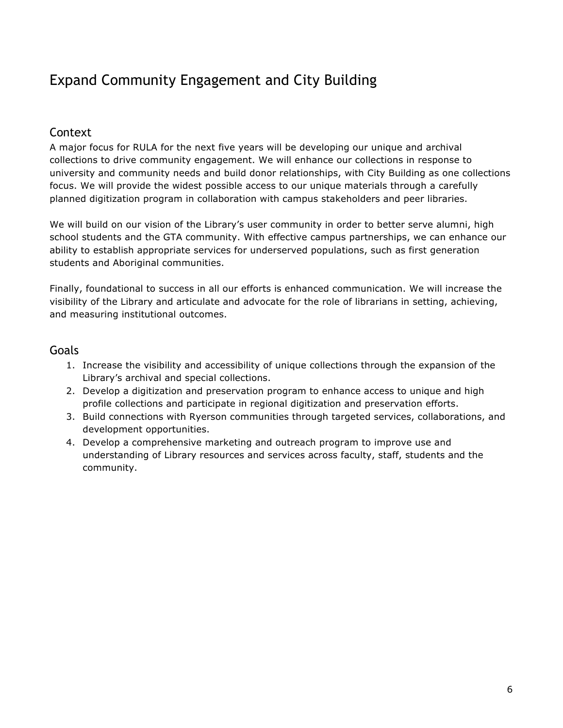# Expand Community Engagement and City Building

#### Context

A major focus for RULA for the next five years will be developing our unique and archival collections to drive community engagement. We will enhance our collections in response to university and community needs and build donor relationships, with City Building as one collections focus. We will provide the widest possible access to our unique materials through a carefully planned digitization program in collaboration with campus stakeholders and peer libraries.

We will build on our vision of the Library's user community in order to better serve alumni, high school students and the GTA community. With effective campus partnerships, we can enhance our ability to establish appropriate services for underserved populations, such as first generation students and Aboriginal communities.

Finally, foundational to success in all our efforts is enhanced communication. We will increase the visibility of the Library and articulate and advocate for the role of librarians in setting, achieving, and measuring institutional outcomes.

- 1. Increase the visibility and accessibility of unique collections through the expansion of the Library's archival and special collections.
- 2. Develop a digitization and preservation program to enhance access to unique and high profile collections and participate in regional digitization and preservation efforts.
- 3. Build connections with Ryerson communities through targeted services, collaborations, and development opportunities.
- 4. Develop a comprehensive marketing and outreach program to improve use and understanding of Library resources and services across faculty, staff, students and the community.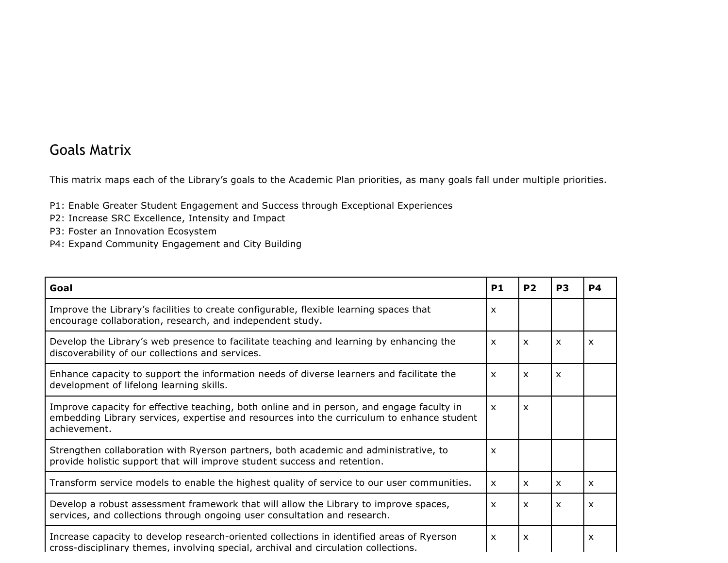### Goals Matrix

This matrix maps each of the Library's goals to the Academic Plan priorities, as many goals fall under multiple priorities.

- P1: Enable Greater Student Engagement and Success through Exceptional Experiences
- P2: Increase SRC Excellence, Intensity and Impact
- P3: Foster an Innovation Ecosystem
- P4: Expand Community Engagement and City Building

| Goal                                                                                                                                                                                                    | P <sub>1</sub>            | P <sub>2</sub>            | P <sub>3</sub>            | <b>P4</b>    |
|---------------------------------------------------------------------------------------------------------------------------------------------------------------------------------------------------------|---------------------------|---------------------------|---------------------------|--------------|
| Improve the Library's facilities to create configurable, flexible learning spaces that<br>encourage collaboration, research, and independent study.                                                     | X                         |                           |                           |              |
| Develop the Library's web presence to facilitate teaching and learning by enhancing the<br>discoverability of our collections and services.                                                             | $\boldsymbol{\mathsf{x}}$ | $\boldsymbol{\mathsf{x}}$ | $\boldsymbol{\mathsf{x}}$ | X            |
| Enhance capacity to support the information needs of diverse learners and facilitate the<br>development of lifelong learning skills.                                                                    | $\boldsymbol{\mathsf{x}}$ | $\boldsymbol{\mathsf{x}}$ | $\times$                  |              |
| Improve capacity for effective teaching, both online and in person, and engage faculty in<br>embedding Library services, expertise and resources into the curriculum to enhance student<br>achievement. | $\boldsymbol{\mathsf{x}}$ | $\boldsymbol{\mathsf{x}}$ |                           |              |
| Strengthen collaboration with Ryerson partners, both academic and administrative, to<br>provide holistic support that will improve student success and retention.                                       | X                         |                           |                           |              |
| Transform service models to enable the highest quality of service to our user communities.                                                                                                              | $\boldsymbol{\mathsf{x}}$ | $\mathsf{x}$              | $\boldsymbol{\mathsf{x}}$ | $\mathsf{x}$ |
| Develop a robust assessment framework that will allow the Library to improve spaces,<br>services, and collections through ongoing user consultation and research.                                       | $\mathsf{x}$              | $\times$                  | $\boldsymbol{\mathsf{x}}$ | X            |
| Increase capacity to develop research-oriented collections in identified areas of Ryerson<br>cross-disciplinary themes, involving special, archival and circulation collections.                        | X                         | $\boldsymbol{\mathsf{x}}$ |                           | x            |